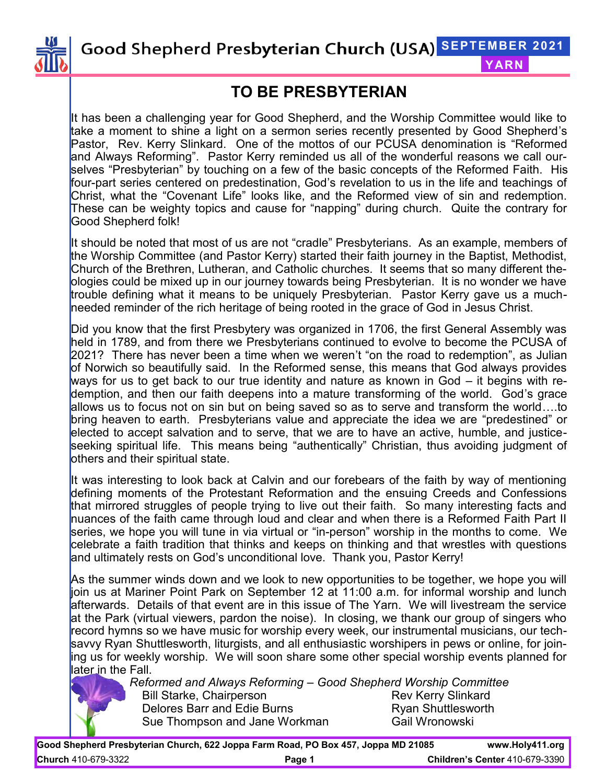

Good Shepherd Presbyterian Church (USA) SEPTEMBER 2021

#### **YARN**

## **TO BE PRESBYTERIAN**

It has been a challenging year for Good Shepherd, and the Worship Committee would like to take a moment to shine a light on a sermon series recently presented by Good Shepherd's Pastor, Rev. Kerry Slinkard. One of the mottos of our PCUSA denomination is "Reformed and Always Reforming". Pastor Kerry reminded us all of the wonderful reasons we call ourselves "Presbyterian" by touching on a few of the basic concepts of the Reformed Faith. His four-part series centered on predestination, God's revelation to us in the life and teachings of Christ, what the "Covenant Life" looks like, and the Reformed view of sin and redemption. These can be weighty topics and cause for "napping" during church. Quite the contrary for Good Shepherd folk!

It should be noted that most of us are not "cradle" Presbyterians. As an example, members of the Worship Committee (and Pastor Kerry) started their faith journey in the Baptist, Methodist, Church of the Brethren, Lutheran, and Catholic churches. It seems that so many different theologies could be mixed up in our journey towards being Presbyterian. It is no wonder we have trouble defining what it means to be uniquely Presbyterian. Pastor Kerry gave us a muchneeded reminder of the rich heritage of being rooted in the grace of God in Jesus Christ.

Did you know that the first Presbytery was organized in 1706, the first General Assembly was held in 1789, and from there we Presbyterians continued to evolve to become the PCUSA of 2021? There has never been a time when we weren't "on the road to redemption", as Julian of Norwich so beautifully said. In the Reformed sense, this means that God always provides ways for us to get back to our true identity and nature as known in God – it begins with redemption, and then our faith deepens into a mature transforming of the world. God's grace allows us to focus not on sin but on being saved so as to serve and transform the world….to bring heaven to earth. Presbyterians value and appreciate the idea we are "predestined" or elected to accept salvation and to serve, that we are to have an active, humble, and justiceseeking spiritual life. This means being "authentically" Christian, thus avoiding judgment of others and their spiritual state.

It was interesting to look back at Calvin and our forebears of the faith by way of mentioning defining moments of the Protestant Reformation and the ensuing Creeds and Confessions that mirrored struggles of people trying to live out their faith. So many interesting facts and nuances of the faith came through loud and clear and when there is a Reformed Faith Part II series, we hope you will tune in via virtual or "in-person" worship in the months to come. We celebrate a faith tradition that thinks and keeps on thinking and that wrestles with questions and ultimately rests on God's unconditional love. Thank you, Pastor Kerry!

As the summer winds down and we look to new opportunities to be together, we hope you will join us at Mariner Point Park on September 12 at 11:00 a.m. for informal worship and lunch afterwards. Details of that event are in this issue of The Yarn. We will livestream the service at the Park (virtual viewers, pardon the noise). In closing, we thank our group of singers who record hymns so we have music for worship every week, our instrumental musicians, our techsavvy Ryan Shuttlesworth, liturgists, and all enthusiastic worshipers in pews or online, for joining us for weekly worship. We will soon share some other special worship events planned for later in the Fall.



*Reformed and Always Reforming – Good Shepherd Worship Committee* Bill Starke, Chairperson **Review Contact Contact Chair** Delores Barr and Edie Burns **Ryan Shuttlesworth** Sue Thompson and Jane Workman Gail Wronowski

**Good Shepherd Presbyterian Church, 622 Joppa Farm Road, PO Box 457, Joppa MD 21085 www.Holy411.org Church** 410-679-3322 **Page 1 Children's Center** 410-679-3390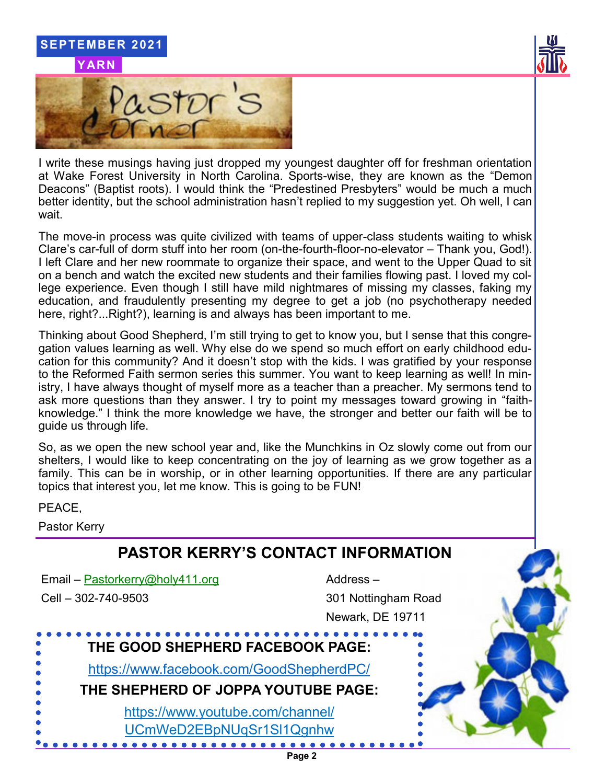

I write these musings having just dropped my youngest daughter off for freshman orientation at Wake Forest University in North Carolina. Sports-wise, they are known as the "Demon Deacons" (Baptist roots). I would think the "Predestined Presbyters" would be much a much better identity, but the school administration hasn't replied to my suggestion yet. Oh well, I can wait.

The move-in process was quite civilized with teams of upper-class students waiting to whisk Clare's car-full of dorm stuff into her room (on-the-fourth-floor-no-elevator – Thank you, God!). I left Clare and her new roommate to organize their space, and went to the Upper Quad to sit on a bench and watch the excited new students and their families flowing past. I loved my college experience. Even though I still have mild nightmares of missing my classes, faking my education, and fraudulently presenting my degree to get a job (no psychotherapy needed here, right?...Right?), learning is and always has been important to me.

Thinking about Good Shepherd, I'm still trying to get to know you, but I sense that this congregation values learning as well. Why else do we spend so much effort on early childhood education for this community? And it doesn't stop with the kids. I was gratified by your response to the Reformed Faith sermon series this summer. You want to keep learning as well! In ministry, I have always thought of myself more as a teacher than a preacher. My sermons tend to ask more questions than they answer. I try to point my messages toward growing in "faithknowledge." I think the more knowledge we have, the stronger and better our faith will be to guide us through life.

So, as we open the new school year and, like the Munchkins in Oz slowly come out from our shelters, I would like to keep concentrating on the joy of learning as we grow together as a family. This can be in worship, or in other learning opportunities. If there are any particular topics that interest you, let me know. This is going to be FUN!

PEACE,

Pastor Kerry

# **PASTOR KERRY'S CONTACT INFORMATION**

Email – Pastorkerry@holy411.org and a metal Address – Cell – 302-740-9503 301 Nottingham Road

Newark, DE 19711

# **THE GOOD SHEPHERD FACEBOOK PAGE:**

https://www.facebook.com/GoodShepherdPC/

**THE SHEPHERD OF JOPPA YOUTUBE PAGE:**

https://www.youtube.com/channel/

UCmWeD2EBpNUqSr1Sl1Qgnhw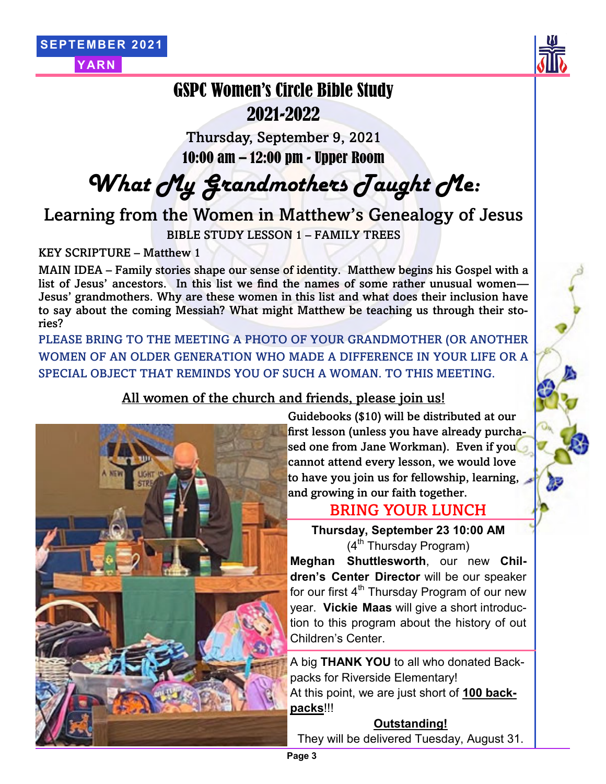



## GSPC Women's Circle Bible Study 2021-2022

Thursday, September 9, 2021 10:00 am – 12:00 pm - Upper Room

*What My Grandmothers Taught Me:*

Learning from the Women in Matthew's Genealogy of Jesus

BIBLE STUDY LESSON 1 – FAMILY TREES

KEY SCRIPTURE – Matthew 1

MAIN IDEA – Family stories shape our sense of identity. Matthew begins his Gospel with a list of Jesus' ancestors. In this list we find the names of some rather unusual women— Jesus' grandmothers. Why are these women in this list and what does their inclusion have to say about the coming Messiah? What might Matthew be teaching us through their stories?

PLEASE BRING TO THE MEETING A PHOTO OF YOUR GRANDMOTHER (OR ANOTHER WOMEN OF AN OLDER GENERATION WHO MADE A DIFFERENCE IN YOUR LIFE OR A SPECIAL OBJECT THAT REMINDS YOU OF SUCH A WOMAN. TO THIS MEETING.

#### All women of the church and friends, please join us!



Guidebooks (\$10) will be distributed at our first lesson (unless you have already purchased one from Jane Workman). Even if you cannot attend every lesson, we would love to have you join us for fellowship, learning, and growing in our faith together.

## BRING YOUR LUNCH

**Thursday, September 23 10:00 AM**  $(4<sup>th</sup>$  Thursdav Program)

**Meghan Shuttlesworth**, our new **Children's Center Director** will be our speaker for our first  $4<sup>th</sup>$  Thursday Program of our new year. **Vickie Maas** will give a short introduction to this program about the history of out Children's Center.

A big **THANK YOU** to all who donated Backpacks for Riverside Elementary! At this point, we are just short of **100 backpacks**!!!

#### **Outstanding!**

They will be delivered Tuesday, August 31.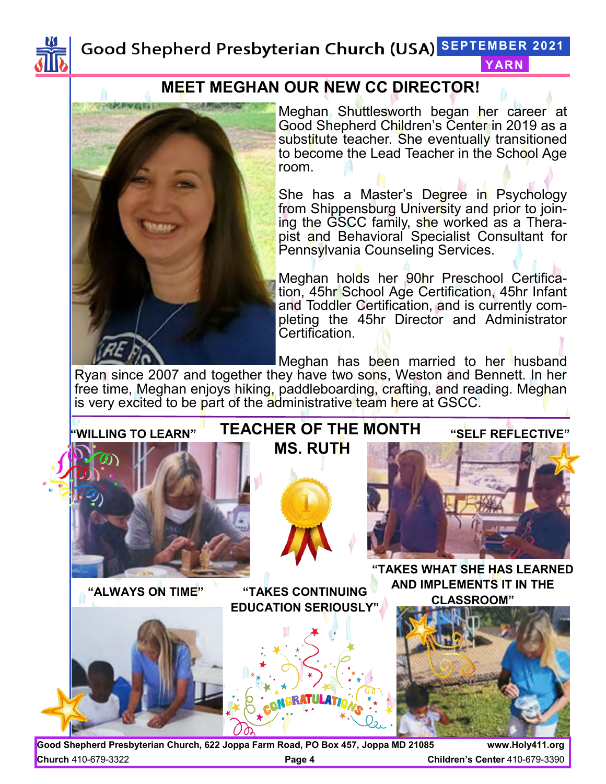

### Good Shepherd Presbyterian Church (USA) SEPTEMBER 2021 **YARN**

## **MEET MEGHAN OUR NEW CC DIRECTOR!**



Meghan Shuttlesworth began her career at Good Shepherd Children's Center in 2019 as a substitute teacher. She eventually transitioned to become the Lead Teacher in the School Age room.

She has a Master's Degree in Psychology from Shippensburg University and prior to joining the GSCC family, she worked as a Therapist and Behavioral Specialist Consultant for Pennsylvania Counseling Services.

Meghan holds her 90hr Preschool Certification, 45hr School Age Certification, 45hr Infant and Toddler Certification, and is currently completing the 45hr Director and Administrator Certification.

Meghan has been married to her husband

Ryan since 2007 and together they have two sons, Weston and Bennett. In her free time, Meghan enjoys hiking, paddleboarding, crafting, and reading. Meghan is very excited to be part of the administrative team here at GSCC.



**Good Shepherd Presbyterian Church, 622 Joppa Farm Road, PO Box 457, Joppa MD 21085 www.Holy411.org Church** 410-679-3322 **Page 4 Children's Center** 410-679-3390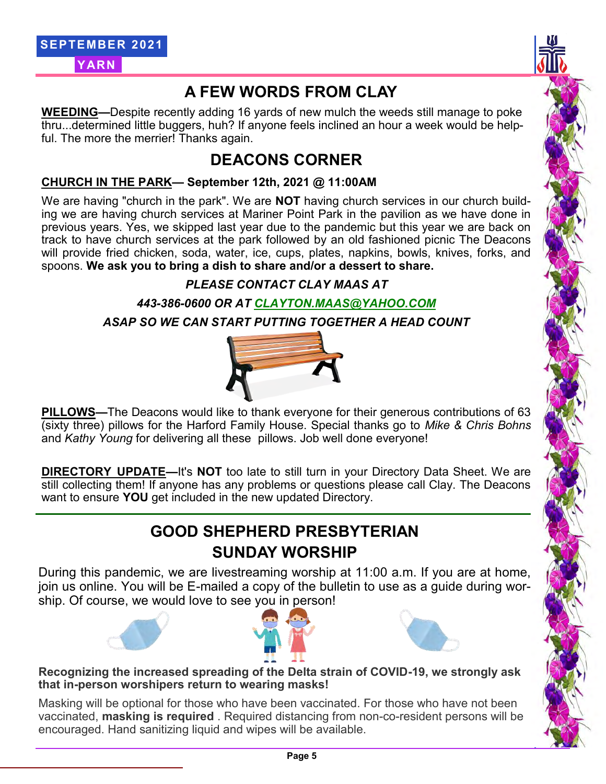## **A FEW WORDS FROM CLAY**

**WEEDING—**Despite recently adding 16 yards of new mulch the weeds still manage to poke thru...determined little buggers, huh? If anyone feels inclined an hour a week would be helpful. The more the merrier! Thanks again.

## **DEACONS CORNER**

#### **CHURCH IN THE PARK— September 12th, 2021 @ 11:00AM**

We are having "church in the park". We are **NOT** having church services in our church building we are having church services at Mariner Point Park in the pavilion as we have done in previous years. Yes, we skipped last year due to the pandemic but this year we are back on track to have church services at the park followed by an old fashioned picnic The Deacons will provide fried chicken, soda, water, ice, cups, plates, napkins, bowls, knives, forks, and spoons. **We ask you to bring a dish to share and/or a dessert to share.**

### *PLEASE CONTACT CLAY MAAS AT*

*443-386-0600 OR AT CLAYTON.MAAS@YAHOO.COM*

*ASAP SO WE CAN START PUTTING TOGETHER A HEAD COUNT*



**PILLOWS—**The Deacons would like to thank everyone for their generous contributions of 63 (sixty three) pillows for the Harford Family House. Special thanks go to *Mike & Chris Bohns* and *Kathy Young* for delivering all these pillows. Job well done everyone!

**DIRECTORY UPDATE—**It's **NOT** too late to still turn in your Directory Data Sheet. We are still collecting them! If anyone has any problems or questions please call Clay. The Deacons want to ensure **YOU** get included in the new updated Directory.

## **GOOD SHEPHERD PRESBYTERIAN SUNDAY WORSHIP**

During this pandemic, we are livestreaming worship at 11:00 a.m. If you are at home, join us online. You will be E-mailed a copy of the bulletin to use as a guide during worship. Of course, we would love to see you in person!







#### **Recognizing the increased spreading of the Delta strain of COVID-19, we strongly ask that in-person worshipers return to wearing masks!**

Masking will be optional for those who have been vaccinated. For those who have not been vaccinated, **masking is required** . Required distancing from non-co-resident persons will be encouraged. Hand sanitizing liquid and wipes will be available.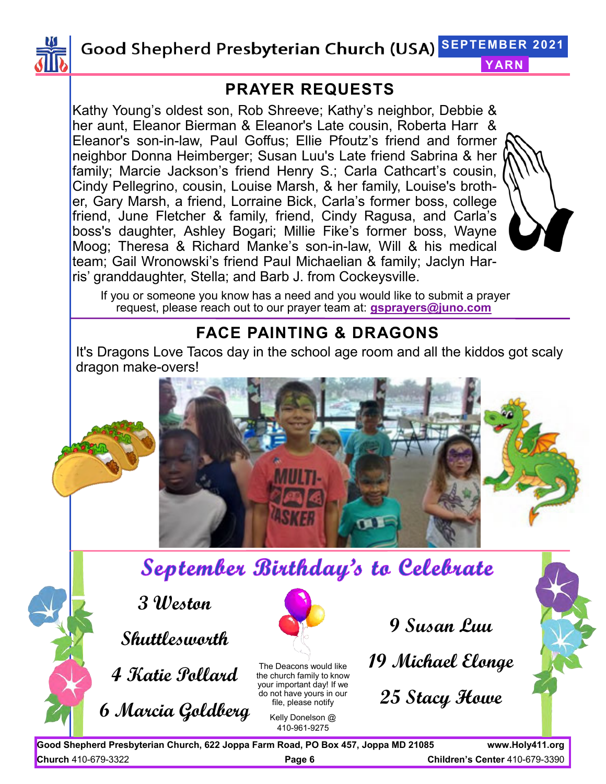

**SEPTEMBER 2021**

## **PRAYER REQUESTS**

Kathy Young's oldest son, Rob Shreeve; Kathy's neighbor, Debbie & her aunt, Eleanor Bierman & Eleanor's Late cousin, Roberta Harr & Eleanor's son-in-law, Paul Goffus; Ellie Pfoutz's friend and former neighbor Donna Heimberger; Susan Luu's Late friend Sabrina & her family; Marcie Jackson's friend Henry S.; Carla Cathcart's cousin, Cindy Pellegrino, cousin, Louise Marsh, & her family, Louise's brother, Gary Marsh, a friend, Lorraine Bick, Carla's former boss, college friend, June Fletcher & family, friend, Cindy Ragusa, and Carla's boss's daughter, Ashley Bogari; Millie Fike's former boss, Wayne Moog; Theresa & Richard Manke's son-in-law, Will & his medical team; Gail Wronowski's friend Paul Michaelian & family; Jaclyn Harris' granddaughter, Stella; and Barb J. from Cockeysville.



**YARN**

If you or someone you know has a need and you would like to submit a prayer request, please reach out to our prayer team at: **gsprayers@juno.com**

## **FACE PAINTING & DRAGONS**

It's Dragons Love Tacos day in the school age room and all the kiddos got scaly dragon make-overs!





# September Birthday's to Celebrate

**3 Weston** 

**Shuttlesworth**

**4 Katie Pollard** 

**6 Marcia Goldberg**

The Deacons would like the church family to know your important day! If we do not have yours in our file, please notify

> Kelly Donelson @ 410-961-9275

**9 Susan Luu** 

**19 Michael Elonge** 

**25 Stacy Howe** 



**Good Shepherd Presbyterian Church, 622 Joppa Farm Road, PO Box 457, Joppa MD 21085 www.Holy411.org Church** 410-679-3322 **Page 6 Children's Center** 410-679-3390